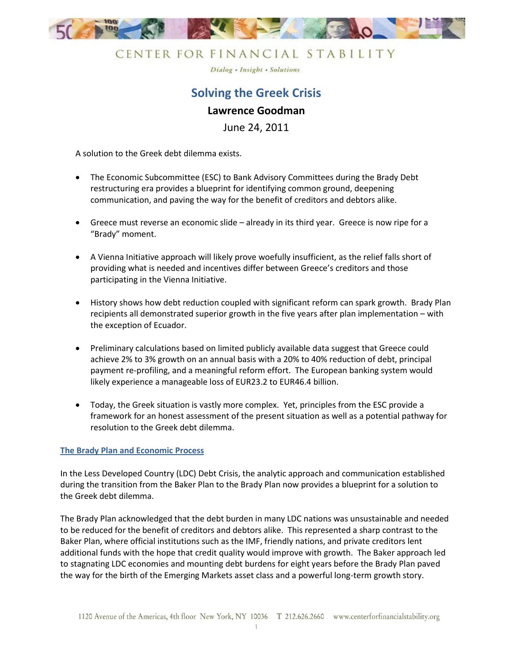

Dialog - Insight - Solutions

# **Solving the Greek Crisis Lawrence Goodman**

June 24, 2011

A solution to the Greek debt dilemma exists.

- The Economic Subcommittee (ESC) to Bank Advisory Committees during the Brady Debt restructuring era provides a blueprint for identifying common ground, deepening communication, and paving the way for the benefit of creditors and debtors alike.
- Greece must reverse an economic slide already in its third year. Greece is now ripe for a "Brady" moment.
- A Vienna Initiative approach will likely prove woefully insufficient, as the relief falls short of providing what is needed and incentives differ between Greece's creditors and those participating in the Vienna Initiative.
- History shows how debt reduction coupled with significant reform can spark growth. Brady Plan recipients all demonstrated superior growth in the five years after plan implementation – with the exception of Ecuador.
- Preliminary calculations based on limited publicly available data suggest that Greece could achieve 2% to 3% growth on an annual basis with a 20% to 40% reduction of debt, principal payment re-profiling, and a meaningful reform effort. The European banking system would likely experience a manageable loss of EUR23.2 to EUR46.4 billion.
- Today, the Greek situation is vastly more complex. Yet, principles from the ESC provide a framework for an honest assessment of the present situation as well as a potential pathway for resolution to the Greek debt dilemma.

### **The Brady Plan and Economic Process**

In the Less Developed Country (LDC) Debt Crisis, the analytic approach and communication established during the transition from the Baker Plan to the Brady Plan now provides a blueprint for a solution to the Greek debt dilemma.

The Brady Plan acknowledged that the debt burden in many LDC nations was unsustainable and needed to be reduced for the benefit of creditors and debtors alike. This represented a sharp contrast to the Baker Plan, where official institutions such as the IMF, friendly nations, and private creditors lent additional funds with the hope that credit quality would improve with growth. The Baker approach led to stagnating LDC economies and mounting debt burdens for eight years before the Brady Plan paved the way for the birth of the Emerging Markets asset class and a powerful long-term growth story.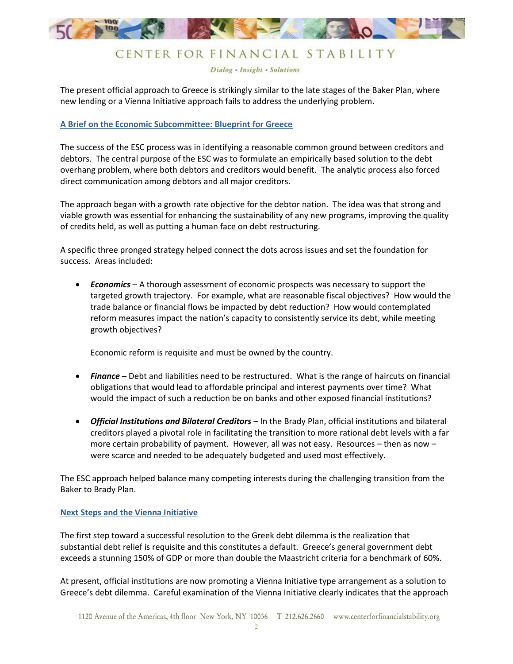

Dialog - Insight - Solutions

The present official approach to Greece is strikingly similar to the late stages of the Baker Plan, where new lending or a Vienna Initiative approach fails to address the underlying problem.

### **A Brief on the Economic Subcommittee: Blueprint for Greece**

The success of the ESC process was in identifying a reasonable common ground between creditors and debtors. The central purpose of the ESC was to formulate an empirically based solution to the debt overhang problem, where both debtors and creditors would benefit. The analytic process also forced direct communication among debtors and all major creditors.

The approach began with a growth rate objective for the debtor nation. The idea was that strong and viable growth was essential for enhancing the sustainability of any new programs, improving the quality of credits held, as well as putting a human face on debt restructuring.

A specific three pronged strategy helped connect the dots across issues and set the foundation for success. Areas included:

 *Economics* – A thorough assessment of economic prospects was necessary to support the targeted growth trajectory. For example, what are reasonable fiscal objectives? How would the trade balance or financial flows be impacted by debt reduction? How would contemplated reform measures impact the nation's capacity to consistently service its debt, while meeting growth objectives?

Economic reform is requisite and must be owned by the country.

- *Finance* Debt and liabilities need to be restructured. What is the range of haircuts on financial obligations that would lead to affordable principal and interest payments over time? What would the impact of such a reduction be on banks and other exposed financial institutions?
- *Official Institutions and Bilateral Creditors* In the Brady Plan, official institutions and bilateral creditors played a pivotal role in facilitating the transition to more rational debt levels with a far more certain probability of payment. However, all was not easy. Resources – then as now – were scarce and needed to be adequately budgeted and used most effectively.

The ESC approach helped balance many competing interests during the challenging transition from the Baker to Brady Plan.

### **Next Steps and the Vienna Initiative**

The first step toward a successful resolution to the Greek debt dilemma is the realization that substantial debt relief is requisite and this constitutes a default. Greece's general government debt exceeds a stunning 150% of GDP or more than double the Maastricht criteria for a benchmark of 60%.

At present, official institutions are now promoting a Vienna Initiative type arrangement as a solution to Greece's debt dilemma. Careful examination of the Vienna Initiative clearly indicates that the approach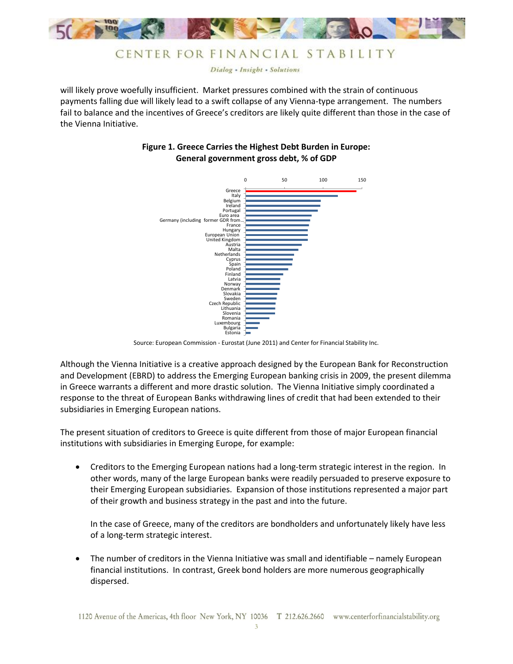

Dialog - Insight - Solutions

will likely prove woefully insufficient. Market pressures combined with the strain of continuous payments falling due will likely lead to a swift collapse of any Vienna-type arrangement. The numbers fail to balance and the incentives of Greece's creditors are likely quite different than those in the case of the Vienna Initiative.

### **Figure 1. Greece Carries the Highest Debt Burden in Europe: General government gross debt, % of GDP**



Source: European Commission - Eurostat (June 2011) and Center for Financial Stability Inc.

Although the Vienna Initiative is a creative approach designed by the European Bank for Reconstruction and Development (EBRD) to address the Emerging European banking crisis in 2009, the present dilemma in Greece warrants a different and more drastic solution. The Vienna Initiative simply coordinated a response to the threat of European Banks withdrawing lines of credit that had been extended to their subsidiaries in Emerging European nations.

The present situation of creditors to Greece is quite different from those of major European financial institutions with subsidiaries in Emerging Europe, for example:

 Creditors to the Emerging European nations had a long-term strategic interest in the region. In other words, many of the large European banks were readily persuaded to preserve exposure to their Emerging European subsidiaries. Expansion of those institutions represented a major part of their growth and business strategy in the past and into the future.

In the case of Greece, many of the creditors are bondholders and unfortunately likely have less of a long-term strategic interest.

 The number of creditors in the Vienna Initiative was small and identifiable – namely European financial institutions. In contrast, Greek bond holders are more numerous geographically dispersed.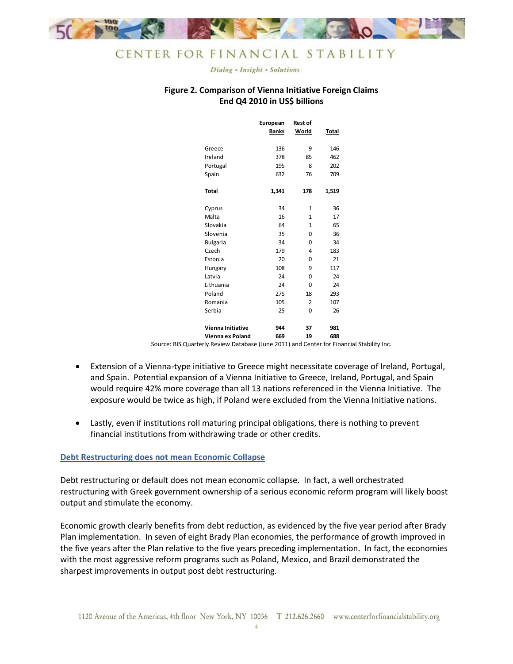

Dialog - Insight - Solutions

### **Figure 2. Comparison of Vienna Initiative Foreign Claims End Q4 2010 in US\$ billions**

|                          | European<br>Banks | <b>Rest of</b><br><b>World</b> | <b>Total</b> |  |
|--------------------------|-------------------|--------------------------------|--------------|--|
| Greece                   | 136               | 9                              | 146          |  |
| Ireland                  | 378               | 85                             | 462          |  |
| Portugal                 | 195               | 8                              | 202          |  |
| Spain                    | 632               | 76                             | 709          |  |
| <b>Total</b>             | 1,341             | 178                            | 1,519        |  |
| Cyprus                   | 34                | $\mathbf{1}$                   | 36           |  |
| Malta                    | 16                | $\mathbf{1}$                   | 17           |  |
| Slovakia                 | 64                | $\mathbf{1}$                   | 65           |  |
| Slovenia                 | 35                | 0                              | 36           |  |
| <b>Bulgaria</b>          | 34                | 0                              | 34           |  |
| Czech                    | 179               | 4                              | 183          |  |
| Estonia                  | 20                | 0                              | 21           |  |
| Hungary                  | 108               | 9                              | 117          |  |
| Latvia                   | 24                | 0                              | 24           |  |
| Lithuania                | 24                | 0                              | 24           |  |
| Poland                   | 275               | 18                             | 293          |  |
| Romania                  | 105               | $\overline{2}$                 | 107          |  |
| Serbia                   | 25                | 0                              | 26           |  |
| <b>Vienna Initiative</b> | 944               | 37                             | 981          |  |
| Vienna ex Poland         | 669               | 19                             | 688          |  |

Source: BIS Quarterly Review Database (June 2011) and Center for Financial Stability Inc.

- Extension of a Vienna-type initiative to Greece might necessitate coverage of Ireland, Portugal, and Spain. Potential expansion of a Vienna Initiative to Greece, Ireland, Portugal, and Spain would require 42% more coverage than all 13 nations referenced in the Vienna Initiative. The exposure would be twice as high, if Poland were excluded from the Vienna Initiative nations.
- Lastly, even if institutions roll maturing principal obligations, there is nothing to prevent financial institutions from withdrawing trade or other credits.

### **Debt Restructuring does not mean Economic Collapse**

Debt restructuring or default does not mean economic collapse. In fact, a well orchestrated restructuring with Greek government ownership of a serious economic reform program will likely boost output and stimulate the economy.

Economic growth clearly benefits from debt reduction, as evidenced by the five year period after Brady Plan implementation. In seven of eight Brady Plan economies, the performance of growth improved in the five years after the Plan relative to the five years preceding implementation. In fact, the economies with the most aggressive reform programs such as Poland, Mexico, and Brazil demonstrated the sharpest improvements in output post debt restructuring.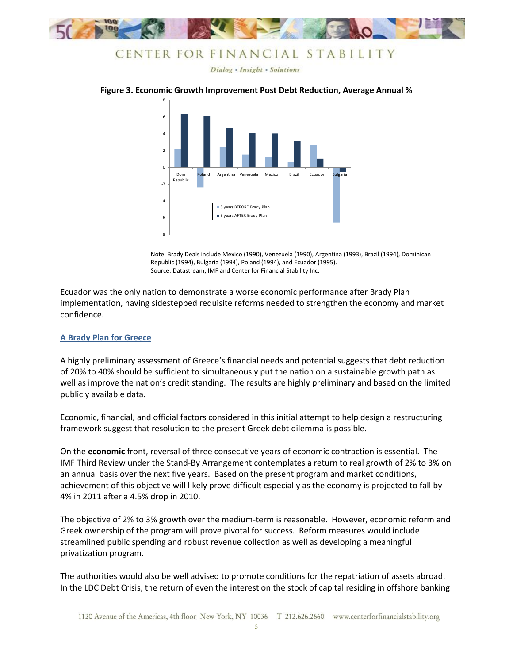

Dialog - Insight - Solutions

#### **Figure 3. Economic Growth Improvement Post Debt Reduction, Average Annual %**



Note: Brady Deals include Mexico (1990), Venezuela (1990), Argentina (1993), Brazil (1994), Dominican Republic (1994), Bulgaria (1994), Poland (1994), and Ecuador (1995). Source: Datastream, IMF and Center for Financial Stability Inc.

Ecuador was the only nation to demonstrate a worse economic performance after Brady Plan implementation, having sidestepped requisite reforms needed to strengthen the economy and market confidence.

### **A Brady Plan for Greece**

A highly preliminary assessment of Greece's financial needs and potential suggests that debt reduction of 20% to 40% should be sufficient to simultaneously put the nation on a sustainable growth path as well as improve the nation's credit standing. The results are highly preliminary and based on the limited publicly available data.

Economic, financial, and official factors considered in this initial attempt to help design a restructuring framework suggest that resolution to the present Greek debt dilemma is possible.

On the **economic** front, reversal of three consecutive years of economic contraction is essential. The IMF Third Review under the Stand-By Arrangement contemplates a return to real growth of 2% to 3% on an annual basis over the next five years. Based on the present program and market conditions, achievement of this objective will likely prove difficult especially as the economy is projected to fall by 4% in 2011 after a 4.5% drop in 2010.

The objective of 2% to 3% growth over the medium-term is reasonable. However, economic reform and Greek ownership of the program will prove pivotal for success. Reform measures would include streamlined public spending and robust revenue collection as well as developing a meaningful privatization program.

The authorities would also be well advised to promote conditions for the repatriation of assets abroad. In the LDC Debt Crisis, the return of even the interest on the stock of capital residing in offshore banking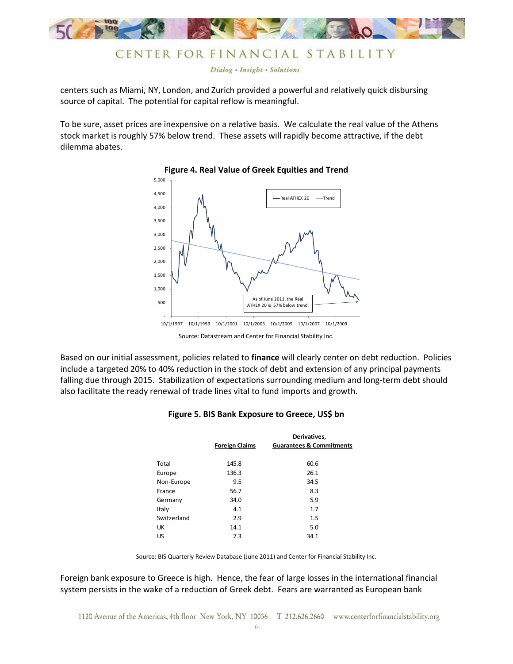

Dialog - Insight - Solutions

centers such as Miami, NY, London, and Zurich provided a powerful and relatively quick disbursing source of capital. The potential for capital reflow is meaningful.

To be sure, asset prices are inexpensive on a relative basis. We calculate the real value of the Athens stock market is roughly 57% below trend. These assets will rapidly become attractive, if the debt dilemma abates.



#### **Figure 4. Real Value of Greek Equities and Trend**

Based on our initial assessment, policies related to **finance** will clearly center on debt reduction. Policies include a targeted 20% to 40% reduction in the stock of debt and extension of any principal payments falling due through 2015. Stabilization of expectations surrounding medium and long-term debt should also facilitate the ready renewal of trade lines vital to fund imports and growth.

#### **Figure 5. BIS Bank Exposure to Greece, US\$ bn**

|             | <b>Foreign Claims</b> | Derivatives,<br><b>Guarantees &amp; Commitments</b> |
|-------------|-----------------------|-----------------------------------------------------|
| Total       | 145.8                 | 60.6                                                |
| Europe      | 136.3                 | 26.1                                                |
| Non-Europe  | 9.5                   | 34.5                                                |
| France      | 56.7                  | 8.3                                                 |
| Germany     | 34.0                  | 5.9                                                 |
| Italy       | 4.1                   | 1.7                                                 |
| Switzerland | 2.9                   | 1.5                                                 |
| UK          | 14.1                  | 5.0                                                 |
| US          | 7.3                   | 34.1                                                |

Source: BIS Quarterly Review Database (June 2011) and Center for Financial Stability Inc.

Foreign bank exposure to Greece is high. Hence, the fear of large losses in the international financial system persists in the wake of a reduction of Greek debt. Fears are warranted as European bank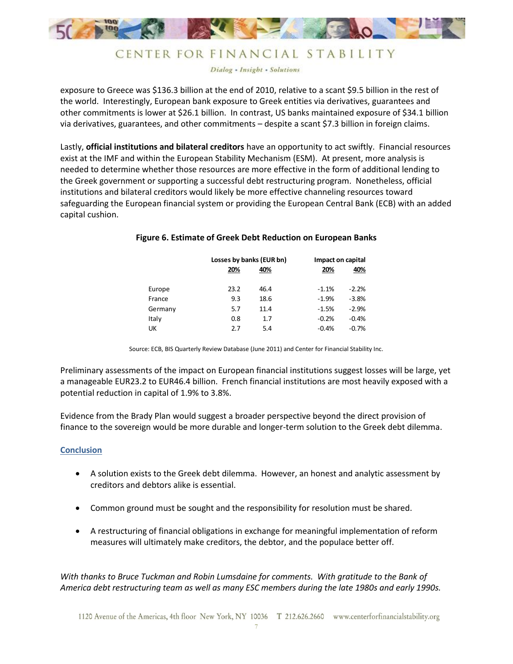

Dialog - Insight - Solutions

exposure to Greece was \$136.3 billion at the end of 2010, relative to a scant \$9.5 billion in the rest of the world. Interestingly, European bank exposure to Greek entities via derivatives, guarantees and other commitments is lower at \$26.1 billion. In contrast, US banks maintained exposure of \$34.1 billion via derivatives, guarantees, and other commitments – despite a scant \$7.3 billion in foreign claims.

Lastly, **official institutions and bilateral creditors** have an opportunity to act swiftly. Financial resources exist at the IMF and within the European Stability Mechanism (ESM). At present, more analysis is needed to determine whether those resources are more effective in the form of additional lending to the Greek government or supporting a successful debt restructuring program. Nonetheless, official institutions and bilateral creditors would likely be more effective channeling resources toward safeguarding the European financial system or providing the European Central Bank (ECB) with an added capital cushion.

|         |      | Losses by banks (EUR bn) |         | Impact on capital |  |
|---------|------|--------------------------|---------|-------------------|--|
|         | 20%  | 40%                      | 20%     | 40%               |  |
|         |      |                          |         |                   |  |
| Europe  | 23.2 | 46.4                     | $-1.1%$ | $-2.2%$           |  |
| France  | 9.3  | 18.6                     | $-1.9%$ | $-3.8%$           |  |
| Germany | 5.7  | 11.4                     | $-1.5%$ | $-2.9%$           |  |
| Italy   | 0.8  | 1.7                      | $-0.2%$ | $-0.4%$           |  |
| UK      | 2.7  | 5.4                      | $-0.4%$ | $-0.7%$           |  |

#### **Figure 6. Estimate of Greek Debt Reduction on European Banks**

Source: ECB, BIS Quarterly Review Database (June 2011) and Center for Financial Stability Inc.

Preliminary assessments of the impact on European financial institutions suggest losses will be large, yet a manageable EUR23.2 to EUR46.4 billion. French financial institutions are most heavily exposed with a potential reduction in capital of 1.9% to 3.8%.

Evidence from the Brady Plan would suggest a broader perspective beyond the direct provision of finance to the sovereign would be more durable and longer-term solution to the Greek debt dilemma.

### **Conclusion**

- A solution exists to the Greek debt dilemma. However, an honest and analytic assessment by creditors and debtors alike is essential.
- Common ground must be sought and the responsibility for resolution must be shared.
- A restructuring of financial obligations in exchange for meaningful implementation of reform measures will ultimately make creditors, the debtor, and the populace better off.

*With thanks to Bruce Tuckman and Robin Lumsdaine for comments. With gratitude to the Bank of America debt restructuring team as well as many ESC members during the late 1980s and early 1990s.*